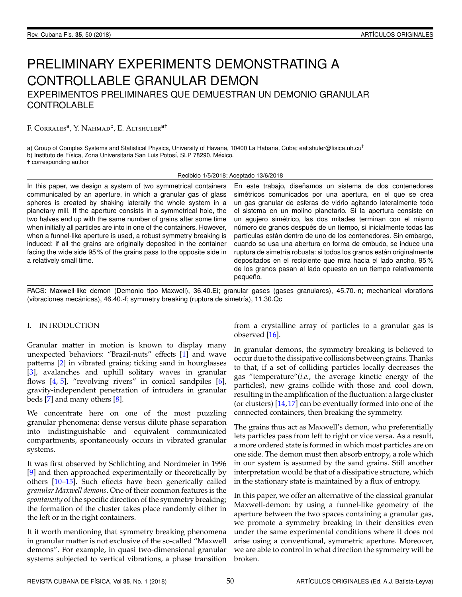# PRELIMINARY EXPERIMENTS DEMONSTRATING A CONTROLLABLE GRANULAR DEMON EXPERIMENTOS PRELIMINARES QUE DEMUESTRAN UN DEMONIO GRANULAR

F. Corrales<sup>a</sup>, Y. Nahmad<sup>b</sup>, E. Altshuler<sup>a†</sup>

a) Group of Complex Systems and Statistical Physics, University of Havana, 10400 La Habana, Cuba; ealtshuler@fisica.uh.cu<sup>†</sup> b) Instituto de Física, Zona Universitaria San Luis Potosí, SLP 78290, México.

† corresponding author

**CONTROLABLE** 

Recibido 1/5/2018; Aceptado 13/6/2018

In this paper, we design a system of two symmetrical containers communicated by an aperture, in which a granular gas of glass spheres is created by shaking laterally the whole system in a planetary mill. If the aperture consists in a symmetrical hole, the two halves end up with the same number of grains after some time when initially all particles are into in one of the containers. However, when a funnel-like aperture is used, a robust symmetry breaking is induced: if all the grains are originally deposited in the container facing the wide side 95 % of the grains pass to the opposite side in a relatively small time.

En este trabajo, diseñamos un sistema de dos contenedores simétricos comunicados por una apertura, en el que se crea un gas granular de esferas de vidrio agitando lateralmente todo el sistema en un molino planetario. Si la apertura consiste en un agujero simetrico, las dos mitades terminan con el mismo ´ número de granos después de un tiempo, si inicialmente todas las partículas están dentro de uno de los contenedores. Sin embargo, cuando se usa una abertura en forma de embudo, se induce una ruptura de simetría robusta: si todos los granos están originalmente depositados en el recipiente que mira hacia el lado ancho, 95 % de los granos pasan al lado opuesto en un tiempo relativamente pequeño.

PACS: Maxwell-like demon (Demonio tipo Maxwell), 36.40.Ei; granular gases (gases granulares), 45.70.-n; mechanical vibrations (vibraciones mecánicas), 46.40.-f; symmetry breaking (ruptura de simetría), 11.30.Qc

# I. INTRODUCTION

Granular matter in motion is known to display many unexpected behaviors: "Brazil-nuts" effects [\[1\]](#page-2-0) and wave patterns [\[2\]](#page-2-1) in vibrated grains; ticking sand in hourglasses [\[3\]](#page-2-2), avalanches and uphill solitary waves in granular flows [\[4,](#page-3-0) [5\]](#page-3-1), "revolving rivers" in conical sandpiles [\[6\]](#page-3-2), gravity-independent penetration of intruders in granular beds [\[7\]](#page-3-3) and many others [\[8\]](#page-3-4).

We concentrate here on one of the most puzzling granular phenomena: dense versus dilute phase separation into indistinguishable and equivalent communicated compartments, spontaneously occurs in vibrated granular systems.

It was first observed by Schlichting and Nordmeier in 1996 [\[9\]](#page-3-5) and then approached experimentally or theoretically by others [\[10](#page-3-6)[–15\]](#page-3-7). Such effects have been generically called *granular Maxwell demons*. One of their common features is the *spontaneity* of the specific direction of the symmetry breaking; the formation of the cluster takes place randomly either in the left or in the right containers.

It it worth mentioning that symmetry breaking phenomena in granular matter is not exclusive of the so-called "Maxwell demons". For example, in quasi two-dimensional granular systems subjected to vertical vibrations, a phase transition

from a crystalline array of particles to a granular gas is observed [\[16\]](#page-3-8).

In granular demons, the symmetry breaking is believed to occur due to the dissipative collisions between grains. Thanks to that, if a set of colliding particles locally decreases the gas "temperature"(*i.e.*, the average kinetic energy of the particles), new grains collide with those and cool down, resulting in the amplification of the fluctuation: a large cluster (or clusters) [\[14,](#page-3-9)[17\]](#page-3-10) can be eventually formed into one of the connected containers, then breaking the symmetry.

The grains thus act as Maxwell's demon, who preferentially lets particles pass from left to right or vice versa. As a result, a more ordered state is formed in which most particles are on one side. The demon must then absorb entropy, a role which in our system is assumed by the sand grains. Still another interpretation would be that of a dissipative structure, which in the stationary state is maintained by a flux of entropy.

In this paper, we offer an alternative of the classical granular Maxwell-demon: by using a funnel-like geometry of the aperture between the two spaces containing a granular gas, we promote a symmetry breaking in their densities even under the same experimental conditions where it does not arise using a conventional, symmetric aperture. Moreover, we are able to control in what direction the symmetry will be broken.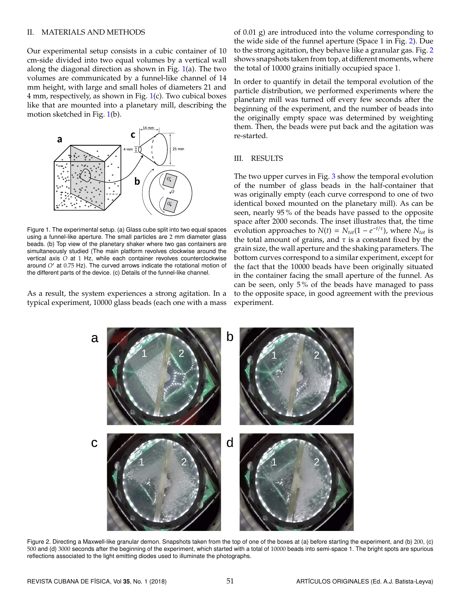## II. MATERIALS AND METHODS

Our experimental setup consists in a cubic container of 10 cm-side divided into two equal volumes by a vertical wall along the diagonal direction as shown in Fig.  $1(a)$  $1(a)$ . The two volumes are communicated by a funnel-like channel of 14 mm height, with large and small holes of diameters 21 and 4 mm, respectively, as shown in Fig. [1\(](#page-1-0)c). Two cubical boxes like that are mounted into a planetary mill, describing the motion sketched in Fig. [1\(](#page-1-0)b).

<span id="page-1-0"></span>

Figure 1. The experimental setup. (a) Glass cube split into two equal spaces using a funnel-like aperture. The small particles are 2 mm diameter glass beads. (b) Top view of the planetary shaker where two gas containers are simultaneously studied (The main platform revolves clockwise around the vertical axis *O* at 1 Hz, while each container revolves counterclockwise around *O'* at 0.75 Hz). The curved arrows indicate the rotational motion of the different parts of the device. (c) Details of the funnel-like channel.

<span id="page-1-1"></span>As a result, the system experiences a strong agitation. In a typical experiment, 10000 glass beads (each one with a mass of 0.01 g) are introduced into the volume corresponding to the wide side of the funnel aperture (Space 1 in Fig. [2\)](#page-1-1). Due to the strong agitation, they behave like a granular gas. Fig. [2](#page-1-1) shows snapshots taken from top, at different moments, where the total of 10000 grains initially occupied space 1.

In order to quantify in detail the temporal evolution of the particle distribution, we performed experiments where the planetary mill was turned off every few seconds after the beginning of the experiment, and the number of beads into the originally empty space was determined by weighting them. Then, the beads were put back and the agitation was re-started.

# III. RESULTS

The two upper curves in Fig. [3](#page-2-3) show the temporal evolution of the number of glass beads in the half-container that was originally empty (each curve correspond to one of two identical boxed mounted on the planetary mill). As can be seen, nearly 95 % of the beads have passed to the opposite space after 2000 seconds. The inset illustrates that, the time evolution approaches to  $N(t) = N_{tot}(1 - e^{-t/\tau})$ , where  $N_{tot}$  is the total amount of grains, and  $\tau$  is a constant fixed by the grain size, the wall aperture and the shaking parameters. The bottom curves correspond to a similar experiment, except for the fact that the 10000 beads have been originally situated in the container facing the small aperture of the funnel. As can be seen, only 5 % of the beads have managed to pass to the opposite space, in good agreement with the previous experiment.



Figure 2. Directing a Maxwell-like granular demon. Snapshots taken from the top of one of the boxes at (a) before starting the experiment, and (b) 200, (c) 500 and (d) 3000 seconds after the beginning of the experiment, which started with a total of 10000 beads into semi-space 1. The bright spots are spurious reflections associated to the light emitting diodes used to illuminate the photographs.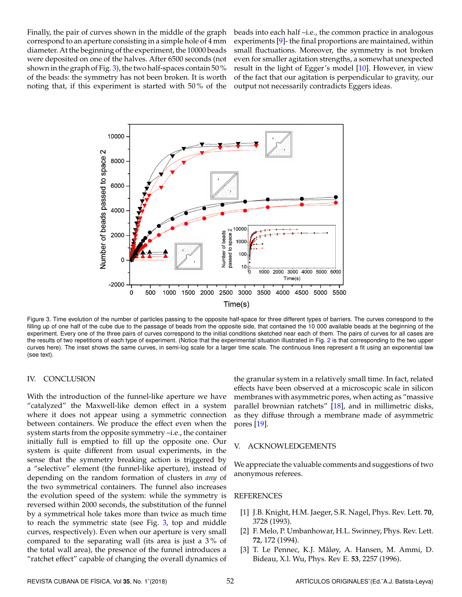Finally, the pair of curves shown in the middle of the graph correspond to an aperture consisting in a simple hole of 4 mm diameter. At the beginning of the experiment, the 10000 beads were deposited on one of the halves. After 6500 seconds (not shown in the graph of Fig. [3\)](#page-2-3), the two half-spaces contain 50 % of the beads: the symmetry has not been broken. It is worth noting that, if this experiment is started with 50 % of the beads into each half –i.e., the common practice in analogous experiments [\[9\]](#page-3-5)- the final proportions are maintained, within small fluctuations. Moreover, the symmetry is not broken even for smaller agitation strengths, a somewhat unexpected result in the light of Egger's model [\[10\]](#page-3-6). However, in view of the fact that our agitation is perpendicular to gravity, our output not necessarily contradicts Eggers ideas.

<span id="page-2-3"></span>

Figure 3. Time evolution of the number of particles passing to the opposite half-space for three different types of barriers. The curves correspond to the filling up of one half of the cube due to the passage of beads from the opposite side, that contained the 10 000 available beads at the beginning of the experiment. Every one of the three pairs of curves correspond to the initial conditions sketched near each of them. The pairs of curves for all cases are the results of two repetitions of each type of experiment. (Notice that the experimental situation illustrated in Fig. [2](#page-1-1) is that corresponding to the two upper curves here). The inset shows the same curves, in semi-log scale for a larger time scale. The continuous lines represent a fit using an exponential law (see text).

## IV. CONCLUSION

With the introduction of the funnel-like aperture we have "catalyzed" the Maxwell-like demon effect in a system where it does not appear using a symmetric connection between containers. We produce the effect even when the system starts from the opposite symmetry –i.e., the container initially full is emptied to fill up the opposite one. Our system is quite different from usual experiments, in the sense that the symmetry breaking action is triggered by a "selective" element (the funnel-like aperture), instead of depending on the random formation of clusters in *any* of the two symmetrical containers. The funnel also increases the evolution speed of the system: while the symmetry is reversed within 2000 seconds, the substitution of the funnel by a symmetrical hole takes more than twice as much time to reach the symmetric state (see Fig. [3,](#page-2-3) top and middle curves, respectively). Even when our aperture is very small compared to the separating wall (its area is just a 3 % of the total wall area), the presence of the funnel introduces a "ratchet effect" capable of changing the overall dynamics of the granular system in a relatively small time. In fact, related effects have been observed at a microscopic scale in silicon membranes with asymmetric pores, when acting as "massive parallel brownian ratchets" [\[18\]](#page-3-11), and in millimetric disks, as they diffuse through a membrane made of asymmetric pores [\[19\]](#page-3-12).

#### V. ACKNOWLEDGEMENTS

We appreciate the valuable comments and suggestions of two anonymous referees.

## REFERENCES

- <span id="page-2-0"></span>[1] J.B. Knight, H.M. Jaeger, S.R. Nagel, Phys. Rev. Lett. **70**, 3728 (1993).
- <span id="page-2-1"></span>[2] F. Melo, P. Umbanhowar, H.L. Swinney, Phys. Rev. Lett. **72**, 172 (1994).
- <span id="page-2-2"></span>[3] T. Le Pennec, K.J. Måløy, A. Hansen, M. Ammi, D. Bideau, X.l. Wu, Phys. Rev E. **53**, 2257 (1996).